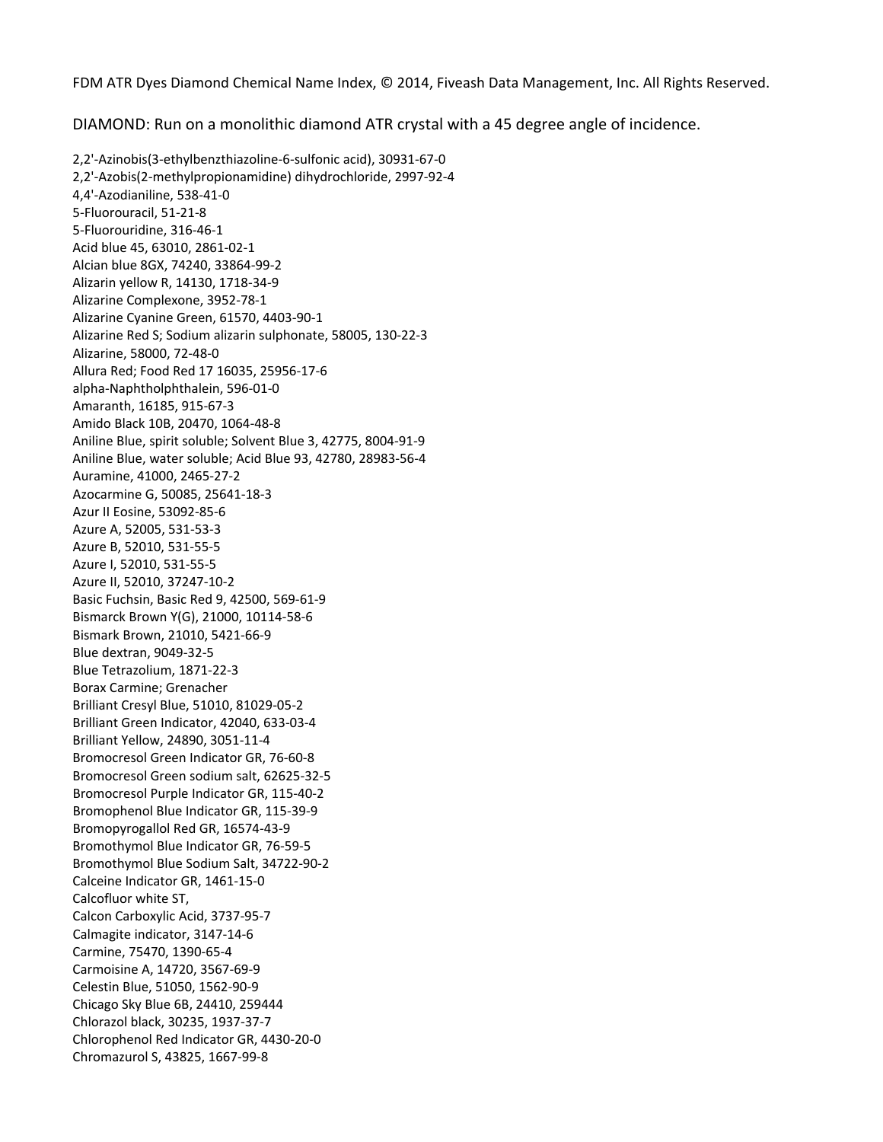FDM ATR Dyes Diamond Chemical Name Index, © 2014, Fiveash Data Management, Inc. All Rights Reserved.

DIAMOND: Run on a monolithic diamond ATR crystal with a 45 degree angle of incidence.

2,2'‐Azinobis(3‐ethylbenzthiazoline‐6‐sulfonic acid), 30931‐67‐0 2,2'‐Azobis(2‐methylpropionamidine) dihydrochloride, 2997‐92‐4 4,4'‐Azodianiline, 538‐41‐0 5‐Fluorouracil, 51‐21‐8 5‐Fluorouridine, 316‐46‐1 Acid blue 45, 63010, 2861‐02‐1 Alcian blue 8GX, 74240, 33864‐99‐2 Alizarin yellow R, 14130, 1718‐34‐9 Alizarine Complexone, 3952‐78‐1 Alizarine Cyanine Green, 61570, 4403‐90‐1 Alizarine Red S; Sodium alizarin sulphonate, 58005, 130‐22‐3 Alizarine, 58000, 72‐48‐0 Allura Red; Food Red 17 16035, 25956‐17‐6 alpha‐Naphtholphthalein, 596‐01‐0 Amaranth, 16185, 915‐67‐3 Amido Black 10B, 20470, 1064‐48‐8 Aniline Blue, spirit soluble; Solvent Blue 3, 42775, 8004‐91‐9 Aniline Blue, water soluble; Acid Blue 93, 42780, 28983‐56‐4 Auramine, 41000, 2465‐27‐2 Azocarmine G, 50085, 25641‐18‐3 Azur II Eosine, 53092‐85‐6 Azure A, 52005, 531‐53‐3 Azure B, 52010, 531‐55‐5 Azure I, 52010, 531‐55‐5 Azure II, 52010, 37247‐10‐2 Basic Fuchsin, Basic Red 9, 42500, 569‐61‐9 Bismarck Brown Y(G), 21000, 10114‐58‐6 Bismark Brown, 21010, 5421‐66‐9 Blue dextran, 9049‐32‐5 Blue Tetrazolium, 1871‐22‐3 Borax Carmine; Grenacher Brilliant Cresyl Blue, 51010, 81029‐05‐2 Brilliant Green Indicator, 42040, 633‐03‐4 Brilliant Yellow, 24890, 3051‐11‐4 Bromocresol Green Indicator GR, 76‐60‐8 Bromocresol Green sodium salt, 62625‐32‐5 Bromocresol Purple Indicator GR, 115‐40‐2 Bromophenol Blue Indicator GR, 115‐39‐9 Bromopyrogallol Red GR, 16574‐43‐9 Bromothymol Blue Indicator GR, 76‐59‐5 Bromothymol Blue Sodium Salt, 34722‐90‐2 Calceine Indicator GR, 1461‐15‐0 Calcofluor white ST, Calcon Carboxylic Acid, 3737‐95‐7 Calmagite indicator, 3147‐14‐6 Carmine, 75470, 1390‐65‐4 Carmoisine A, 14720, 3567‐69‐9 Celestin Blue, 51050, 1562‐90‐9 Chicago Sky Blue 6B, 24410, 259444 Chlorazol black, 30235, 1937‐37‐7 Chlorophenol Red Indicator GR, 4430‐20‐0 Chromazurol S, 43825, 1667‐99‐8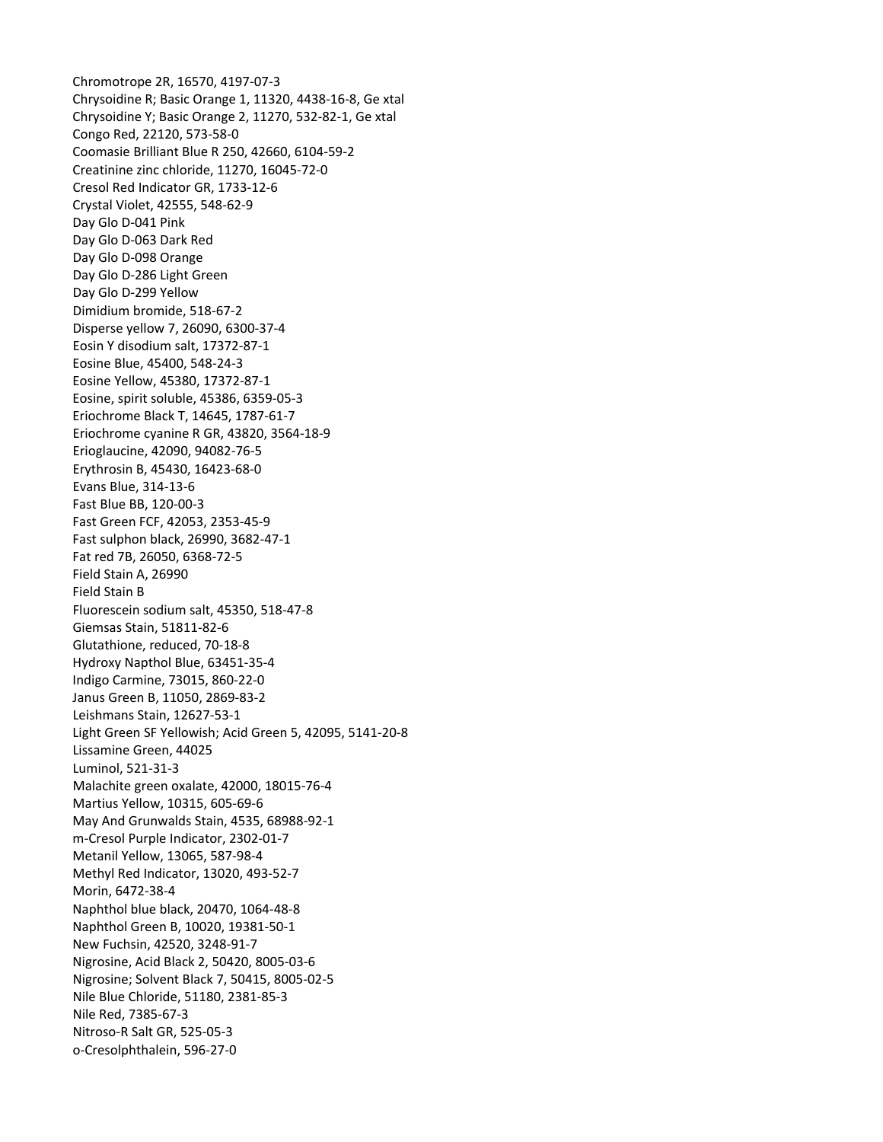Chromotrope 2R, 16570, 4197‐07‐3 Chrysoidine R; Basic Orange 1, 11320, 4438‐16‐8, Ge xtal Chrysoidine Y; Basic Orange 2, 11270, 532‐82‐1, Ge xtal Congo Red, 22120, 573‐58‐0 Coomasie Brilliant Blue R 250, 42660, 6104‐59‐2 Creatinine zinc chloride, 11270, 16045‐72‐0 Cresol Red Indicator GR, 1733‐12‐6 Crystal Violet, 42555, 548‐62‐9 Day Glo D‐041 Pink Day Glo D‐063 Dark Red Day Glo D‐098 Orange Day Glo D‐286 Light Green Day Glo D‐299 Yellow Dimidium bromide, 518‐67‐2 Disperse yellow 7, 26090, 6300‐37‐4 Eosin Y disodium salt, 17372‐87‐1 Eosine Blue, 45400, 548‐24‐3 Eosine Yellow, 45380, 17372‐87‐1 Eosine, spirit soluble, 45386, 6359‐05‐3 Eriochrome Black T, 14645, 1787‐61‐7 Eriochrome cyanine R GR, 43820, 3564‐18‐9 Erioglaucine, 42090, 94082‐76‐5 Erythrosin B, 45430, 16423‐68‐0 Evans Blue, 314‐13‐6 Fast Blue BB, 120‐00‐3 Fast Green FCF, 42053, 2353‐45‐9 Fast sulphon black, 26990, 3682‐47‐1 Fat red 7B, 26050, 6368‐72‐5 Field Stain A, 26990 Field Stain B Fluorescein sodium salt, 45350, 518‐47‐8 Giemsas Stain, 51811‐82‐6 Glutathione, reduced, 70‐18‐8 Hydroxy Napthol Blue, 63451‐35‐4 Indigo Carmine, 73015, 860‐22‐0 Janus Green B, 11050, 2869‐83‐2 Leishmans Stain, 12627‐53‐1 Light Green SF Yellowish; Acid Green 5, 42095, 5141‐20‐8 Lissamine Green, 44025 Luminol, 521‐31‐3 Malachite green oxalate, 42000, 18015‐76‐4 Martius Yellow, 10315, 605‐69‐6 May And Grunwalds Stain, 4535, 68988‐92‐1 m‐Cresol Purple Indicator, 2302‐01‐7 Metanil Yellow, 13065, 587‐98‐4 Methyl Red Indicator, 13020, 493‐52‐7 Morin, 6472‐38‐4 Naphthol blue black, 20470, 1064‐48‐8 Naphthol Green B, 10020, 19381‐50‐1 New Fuchsin, 42520, 3248‐91‐7 Nigrosine, Acid Black 2, 50420, 8005‐03‐6 Nigrosine; Solvent Black 7, 50415, 8005‐02‐5 Nile Blue Chloride, 51180, 2381‐85‐3 Nile Red, 7385‐67‐3 Nitroso‐R Salt GR, 525‐05‐3 o‐Cresolphthalein, 596‐27‐0